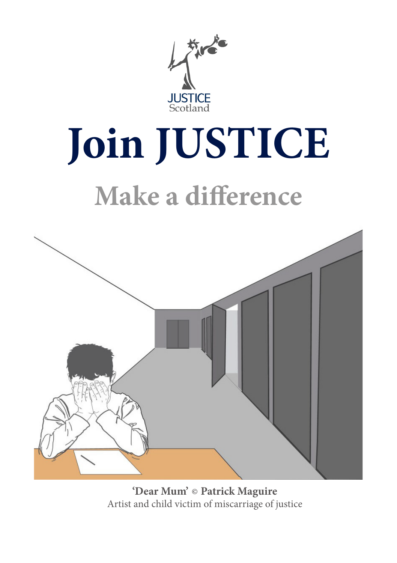

# **Join JUSTICE**

# **Make a difference**



'Dear Mum' © Patrick Maguire Artist and child victim of miscarriage of justice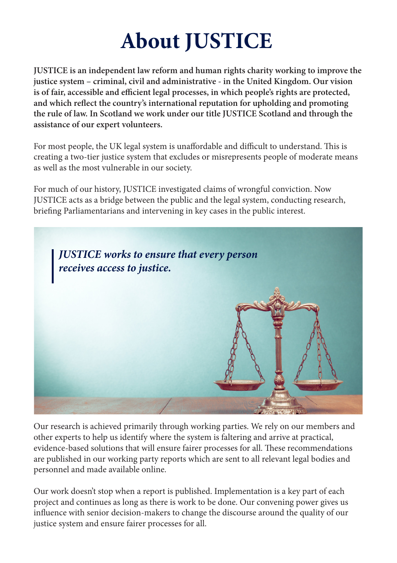# **About JUSTICE**

**JUSTICE is an independent law reform and human rights charity working to improve the justice system – criminal, civil and administrative - in the United Kingdom. Our vision is of fair, accessible and efficient legal processes, in which people's rights are protected, and which reflect the country's international reputation for upholding and promoting the rule of law. In Scotland we work under our title JUSTICE Scotland and through the assistance of our expert volunteers.** 

For most people, the UK legal system is unaffordable and difficult to understand. This is creating a two-tier justice system that excludes or misrepresents people of moderate means as well as the most vulnerable in our society.

For much of our history, JUSTICE investigated claims of wrongful conviction. Now JUSTICE acts as a bridge between the public and the legal system, conducting research, briefing Parliamentarians and intervening in key cases in the public interest.



Our research is achieved primarily through working parties. We rely on our members and other experts to help us identify where the system is faltering and arrive at practical, evidence-based solutions that will ensure fairer processes for all. These recommendations are published in our working party reports which are sent to all relevant legal bodies and personnel and made available online.

Our work doesn't stop when a report is published. Implementation is a key part of each project and continues as long as there is work to be done. Our convening power gives us influence with senior decision-makers to change the discourse around the quality of our justice system and ensure fairer processes for all.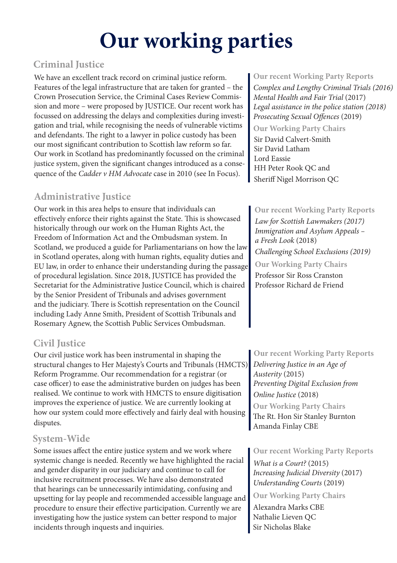# **Our working parties**

#### **Criminal Justice**

We have an excellent track record on criminal justice reform. Features of the legal infrastructure that are taken for granted – the Crown Prosecution Service, the Criminal Cases Review Commission and more – were proposed by JUSTICE. Our recent work has focussed on addressing the delays and complexities during investigation and trial, while recognising the needs of vulnerable victims and defendants. The right to a lawyer in police custody has been our most significant contribution to Scottish law reform so far. Our work in Scotland has predominantly focussed on the criminal justice system, given the significant changes introduced as a consequence of the *Cadder v HM Advocate* case in 2010 (see In Focus).

#### **Administrative Justice**

Our work in this area helps to ensure that individuals can effectively enforce their rights against the State. This is showcased historically through our work on the Human Rights Act, the Freedom of Information Act and the Ombudsman system. In Scotland, we produced a guide for Parliamentarians on how the law in Scotland operates, along with human rights, equality duties and EU law, in order to enhance their understanding during the passage of procedural legislation. Since 2018, JUSTICE has provided the Secretariat for the Administrative Justice Council, which is chaired by the Senior President of Tribunals and advises government and the judiciary. There is Scottish representation on the Council including Lady Anne Smith, President of Scottish Tribunals and Rosemary Agnew, the Scottish Public Services Ombudsman.

#### **Civil Justice**

Our civil justice work has been instrumental in shaping the structural changes to Her Majesty's Courts and Tribunals (HMCTS) Reform Programme. Our recommendation for a registrar (or case officer) to ease the administrative burden on judges has been realised. We continue to work with HMCTS to ensure digitisation improves the experience of justice. We are currently looking at how our system could more effectively and fairly deal with housing disputes.

#### **System-Wide**

Some issues affect the entire justice system and we work where systemic change is needed. Recently we have highlighted the racial and gender disparity in our judiciary and continue to call for inclusive recruitment processes. We have also demonstrated that hearings can be unnecessarily intimidating, confusing and upsetting for lay people and recommended accessible language and procedure to ensure their effective participation. Currently we are investigating how the justice system can better respond to major incidents through inquests and inquiries.

**Our recent Working Party Reports** *Complex and Lengthy Criminal Trials (2016) Mental Health and Fair Trial* (2017) *Legal assistance in the police station (2018) Prosecuting Sexual Offences* (2019)

#### **Our Working Party Chairs**

Sir David Calvert-Smith Sir David Latham Lord Eassie HH Peter Rook QC and Sheriff Nigel Morrison QC

#### **Our recent Working Party Reports**

**Our Working Party Chairs** *Law for Scottish Lawmakers (2017) Immigration and Asylum Appeals – a Fresh Look* (2018) *Challenging School Exclusions (2019)* Professor Sir Ross Cranston

Professor Richard de Friend

#### **Our recent Working Party Reports**

*Delivering Justice in an Age of Austerity* (2015) *Preventing Digital Exclusion from Online Justice* (2018) The Rt. Hon Sir Stanley Burnton Amanda Finlay CBE **Our Working Party Chairs**

**Our recent Working Party Reports**

*What is a Court?* (2015) *Increasing Judicial Diversity* (2017) *Understanding Courts* (2019)

**Our Working Party Chairs** Alexandra Marks CBE Nathalie Lieven QC Sir Nicholas Blake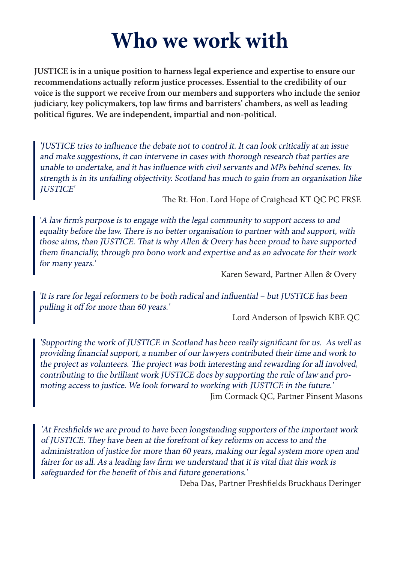## **Who we work with**

**JUSTICE is in a unique position to harness legal experience and expertise to ensure our recommendations actually reform justice processes. Essential to the credibility of our voice is the support we receive from our members and supporters who include the senior judiciary, key policymakers, top law firms and barristers' chambers, as well as leading political figures. We are independent, impartial and non-political.**

'JUSTICE tries to influence the debate not to control it. It can look critically at an issue and make suggestions, it can intervene in cases with thorough research that parties are unable to undertake, and it has influence with civil servants and MPs behind scenes. Its strength is in its unfailing objectivity. Scotland has much to gain from an organisation like JUSTICE'

The Rt. Hon. Lord Hope of Craighead KT QC PC FRSE

'A law firm's purpose is to engage with the legal community to support access to and equality before the law. There is no better organisation to partner with and support, with those aims, than JUSTICE. That is why Allen & Overy has been proud to have supported them financially, through pro bono work and expertise and as an advocate for their work for many years.'

Karen Seward, Partner Allen & Overy

'It is rare for legal reformers to be both radical and influential – but JUSTICE has been pulling it off for more than 60 years.'

Lord Anderson of Ipswich KBE QC

'Supporting the work of JUSTICE in Scotland has been really significant for us. As well as providing financial support, a number of our lawyers contributed their time and work to the project as volunteers. The project was both interesting and rewarding for all involved, contributing to the brilliant work JUSTICE does by supporting the rule of law and promoting access to justice. We look forward to working with JUSTICE in the future.' Jim Cormack QC, Partner Pinsent Masons

'At Freshfields we are proud to have been longstanding supporters of the important work of JUSTICE. They have been at the forefront of key reforms on access to and the administration of justice for more than 60 years, making our legal system more open and fairer for us all. As a leading law firm we understand that it is vital that this work is safeguarded for the benefit of this and future generations.'

Deba Das, Partner Freshfields Bruckhaus Deringer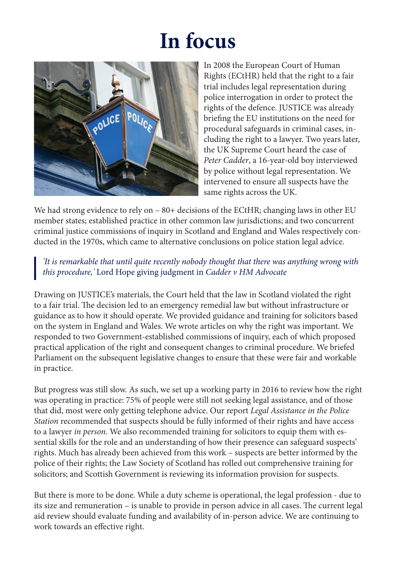# **In focus**



In 2008 the European Court of Human Rights (ECtHR) held that the right to a fair trial includes legal representation during police interrogation in order to protect the rights of the defence. JUSTICE was already briefing the EU institutions on the need for procedural safeguards in criminal cases, including the right to a lawyer. Two years later, the UK Supreme Court heard the case of *Peter Cadder*, a 16-year-old boy interviewed by police without legal representation. We intervened to ensure all suspects have the same rights across the UK.

We had strong evidence to rely on – 80+ decisions of the ECtHR; changing laws in other EU member states; established practice in other common law jurisdictions; and two concurrent criminal justice commissions of inquiry in Scotland and England and Wales respectively conducted in the 1970s, which came to alternative conclusions on police station legal advice.

*'It is remarkable that until quite recently nobody thought that there was anything wrong with this procedure,'* Lord Hope giving judgment in *Cadder v HM Advocate*

Drawing on JUSTICE's materials, the Court held that the law in Scotland violated the right to a fair trial. The decision led to an emergency remedial law but without infrastructure or guidance as to how it should operate. We provided guidance and training for solicitors based on the system in England and Wales. We wrote articles on why the right was important. We responded to two Government-established commissions of inquiry, each of which proposed practical application of the right and consequent changes to criminal procedure. We briefed Parliament on the subsequent legislative changes to ensure that these were fair and workable in practice.

But progress was still slow. As such, we set up a working party in 2016 to review how the right was operating in practice: 75% of people were still not seeking legal assistance, and of those that did, most were only getting telephone advice. Our report *Legal Assistance in the Police Station* recommended that suspects should be fully informed of their rights and have access to a lawyer *in person*. We also recommended training for solicitors to equip them with essential skills for the role and an understanding of how their presence can safeguard suspects' rights. Much has already been achieved from this work – suspects are better informed by the police of their rights; the Law Society of Scotland has rolled out comprehensive training for solicitors; and Scottish Government is reviewing its information provision for suspects.

But there is more to be done. While a duty scheme is operational, the legal profession - due to its size and remuneration – is unable to provide in person advice in all cases. The current legal aid review should evaluate funding and availability of in-person advice. We are continuing to work towards an effective right.